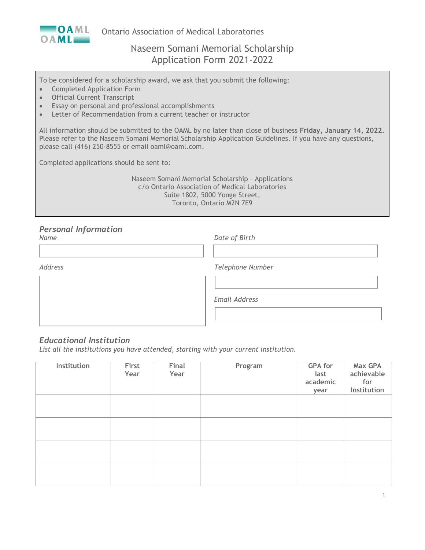

Ontario Association of Medical Laboratories

# Naseem Somani Memorial Scholarship Application Form 2021-2022

To be considered for a scholarship award, we ask that you submit the following:

- Completed Application Form
- Official Current Transcript
- Essay on personal and professional accomplishments
- Letter of Recommendation from a current teacher or instructor

All information should be submitted to the OAML by no later than close of business **Friday, January 14, 2022.** Please refer to the Naseem Somani Memorial Scholarship Application Guidelines. If you have any questions, please call (416) 250-8555 or email oaml@oaml.com.

Completed applications should be sent to:

Naseem Somani Memorial Scholarship – Applications c/o Ontario Association of Medical Laboratories Suite 1802, 5000 Yonge Street, Toronto, Ontario M2N 7E9

#### *Personal Information Name Date of Birth*

| Telephone Number     |
|----------------------|
|                      |
| <b>Email Address</b> |
|                      |

## *Educational Institution*

*List all the institutions you have attended, starting with your current institution.*

| Institution | First<br>Year | Final<br>Year | Program | <b>GPA for</b><br>last<br>academic<br>year | <b>Max GPA</b><br>achievable<br>for<br>Institution |
|-------------|---------------|---------------|---------|--------------------------------------------|----------------------------------------------------|
|             |               |               |         |                                            |                                                    |
|             |               |               |         |                                            |                                                    |
|             |               |               |         |                                            |                                                    |
|             |               |               |         |                                            |                                                    |